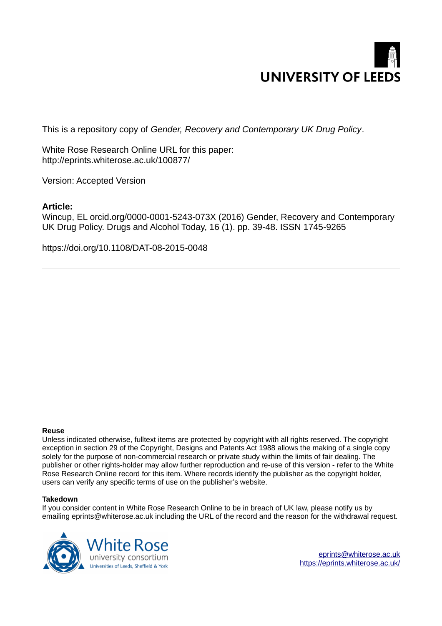

This is a repository copy of *Gender, Recovery and Contemporary UK Drug Policy*.

White Rose Research Online URL for this paper: http://eprints.whiterose.ac.uk/100877/

Version: Accepted Version

# **Article:**

Wincup, EL orcid.org/0000-0001-5243-073X (2016) Gender, Recovery and Contemporary UK Drug Policy. Drugs and Alcohol Today, 16 (1). pp. 39-48. ISSN 1745-9265

https://doi.org/10.1108/DAT-08-2015-0048

#### **Reuse**

Unless indicated otherwise, fulltext items are protected by copyright with all rights reserved. The copyright exception in section 29 of the Copyright, Designs and Patents Act 1988 allows the making of a single copy solely for the purpose of non-commercial research or private study within the limits of fair dealing. The publisher or other rights-holder may allow further reproduction and re-use of this version - refer to the White Rose Research Online record for this item. Where records identify the publisher as the copyright holder, users can verify any specific terms of use on the publisher's website.

#### **Takedown**

If you consider content in White Rose Research Online to be in breach of UK law, please notify us by emailing eprints@whiterose.ac.uk including the URL of the record and the reason for the withdrawal request.



[eprints@whiterose.ac.uk](mailto:eprints@whiterose.ac.uk) <https://eprints.whiterose.ac.uk/>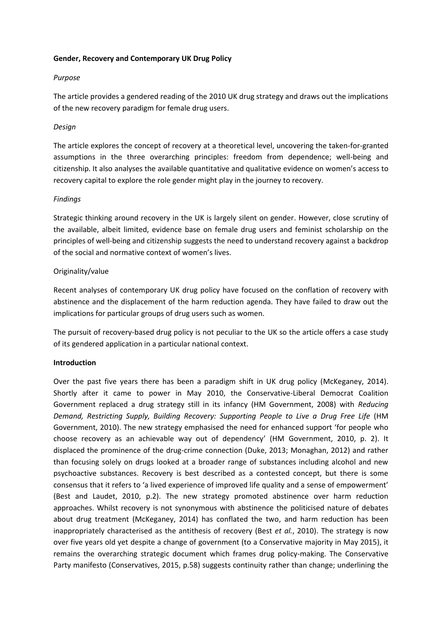### **Gender, Recovery and Contemporary UK Drug Policy**

### *Purpose*

The article provides a gendered reading of the 2010 UK drug strategy and draws out the implications of the new recovery paradigm for female drug users.

## *Design*

The article explores the concept of recovery at a theoretical level, uncovering the taken-for-granted assumptions in the three overarching principles: freedom from dependence; well-being and citizenship. It also analyses the available quantitative and qualitative evidence on women's access to recovery capital to explore the role gender might play in the journey to recovery.

## *Findings*

Strategic thinking around recovery in the UK is largely silent on gender. However, close scrutiny of the available, albeit limited, evidence base on female drug users and feminist scholarship on the principles of well-being and citizenship suggests the need to understand recovery against a backdrop of the social and normative context of women's lives.

# Originality/value

Recent analyses of contemporary UK drug policy have focused on the conflation of recovery with abstinence and the displacement of the harm reduction agenda. They have failed to draw out the implications for particular groups of drug users such as women.

The pursuit of recovery-based drug policy is not peculiar to the UK so the article offers a case study of its gendered application in a particular national context.

### **Introduction**

Over the past five years there has been a paradigm shift in UK drug policy (McKeganey, 2014). Shortly after it came to power in May 2010, the Conservative-Liberal Democrat Coalition Government replaced a drug strategy still in its infancy (HM Government, 2008) with *Reducing Demand, Restricting Supply, Building Recovery: Supporting People to Live a Drug Free Life* (HM Government, 2010). The new strategy emphasised the need for enhanced support 'for people who choose recovery as an achievable way out of dependency' (HM Government, 2010, p. 2). It displaced the prominence of the drug-crime connection (Duke, 2013; Monaghan, 2012) and rather than focusing solely on drugs looked at a broader range of substances including alcohol and new psychoactive substances. Recovery is best described as a contested concept, but there is some consensus that it refers to 'a lived experience of improved life quality and a sense of empowerment' (Best and Laudet, 2010, p.2). The new strategy promoted abstinence over harm reduction approaches. Whilst recovery is not synonymous with abstinence the politicised nature of debates about drug treatment (McKeganey, 2014) has conflated the two, and harm reduction has been inappropriately characterised as the antithesis of recovery (Best *et al.*, 2010). The strategy is now over five years old yet despite a change of government (to a Conservative majority in May 2015), it remains the overarching strategic document which frames drug policy-making. The Conservative Party manifesto (Conservatives, 2015, p.58) suggests continuity rather than change; underlining the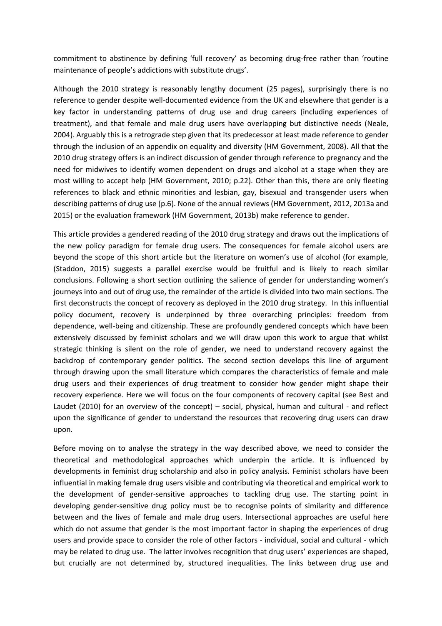commitment to abstinence by defining 'full recovery' as becoming drug-free rather than 'routine maintenance of people's addictions with substitute drugs'.

Although the 2010 strategy is reasonably lengthy document (25 pages), surprisingly there is no reference to gender despite well-documented evidence from the UK and elsewhere that gender is a key factor in understanding patterns of drug use and drug careers (including experiences of treatment), and that female and male drug users have overlapping but distinctive needs (Neale, 2004). Arguably this is a retrograde step given that its predecessor at least made reference to gender through the inclusion of an appendix on equality and diversity (HM Government, 2008). All that the 2010 drug strategy offers is an indirect discussion of gender through reference to pregnancy and the need for midwives to identify women dependent on drugs and alcohol at a stage when they are most willing to accept help (HM Government, 2010; p.22). Other than this, there are only fleeting references to black and ethnic minorities and lesbian, gay, bisexual and transgender users when describing patterns of drug use (p.6). None of the annual reviews (HM Government, 2012, 2013a and 2015) or the evaluation framework (HM Government, 2013b) make reference to gender.

This article provides a gendered reading of the 2010 drug strategy and draws out the implications of the new policy paradigm for female drug users. The consequences for female alcohol users are beyond the scope of this short article but the literature on women's use of alcohol (for example, (Staddon, 2015) suggests a parallel exercise would be fruitful and is likely to reach similar conclusions. Following a short section outlining the salience of gender for understanding women's journeys into and out of drug use, the remainder of the article is divided into two main sections. The first deconstructs the concept of recovery as deployed in the 2010 drug strategy. In this influential policy document, recovery is underpinned by three overarching principles: freedom from dependence, well-being and citizenship. These are profoundly gendered concepts which have been extensively discussed by feminist scholars and we will draw upon this work to argue that whilst strategic thinking is silent on the role of gender, we need to understand recovery against the backdrop of contemporary gender politics. The second section develops this line of argument through drawing upon the small literature which compares the characteristics of female and male drug users and their experiences of drug treatment to consider how gender might shape their recovery experience. Here we will focus on the four components of recovery capital (see Best and Laudet (2010) for an overview of the concept) – social, physical, human and cultural - and reflect upon the significance of gender to understand the resources that recovering drug users can draw upon.

Before moving on to analyse the strategy in the way described above, we need to consider the theoretical and methodological approaches which underpin the article. It is influenced by developments in feminist drug scholarship and also in policy analysis. Feminist scholars have been influential in making female drug users visible and contributing via theoretical and empirical work to the development of gender-sensitive approaches to tackling drug use. The starting point in developing gender-sensitive drug policy must be to recognise points of similarity and difference between and the lives of female and male drug users. Intersectional approaches are useful here which do not assume that gender is the most important factor in shaping the experiences of drug users and provide space to consider the role of other factors - individual, social and cultural - which may be related to drug use. The latter involves recognition that drug users' experiences are shaped, but crucially are not determined by, structured inequalities. The links between drug use and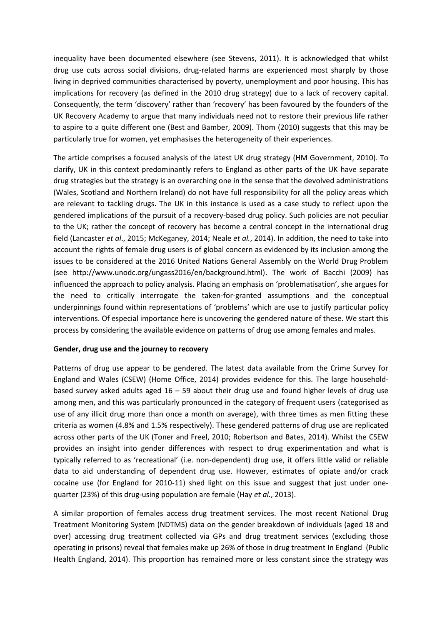inequality have been documented elsewhere (see Stevens, 2011). It is acknowledged that whilst drug use cuts across social divisions, drug-related harms are experienced most sharply by those living in deprived communities characterised by poverty, unemployment and poor housing. This has implications for recovery (as defined in the 2010 drug strategy) due to a lack of recovery capital. Consequently, the term 'discovery' rather than 'recovery' has been favoured by the founders of the UK Recovery Academy to argue that many individuals need not to restore their previous life rather to aspire to a quite different one (Best and Bamber, 2009). Thom (2010) suggests that this may be particularly true for women, yet emphasises the heterogeneity of their experiences.

The article comprises a focused analysis of the latest UK drug strategy (HM Government, 2010). To clarify, UK in this context predominantly refers to England as other parts of the UK have separate drug strategies but the strategy is an overarching one in the sense that the devolved administrations (Wales, Scotland and Northern Ireland) do not have full responsibility for all the policy areas which are relevant to tackling drugs. The UK in this instance is used as a case study to reflect upon the gendered implications of the pursuit of a recovery-based drug policy. Such policies are not peculiar to the UK; rather the concept of recovery has become a central concept in the international drug field (Lancaster *et al*., 2015; McKeganey, 2014; Neale *et al.*, 2014). In addition, the need to take into account the rights of female drug users is of global concern as evidenced by its inclusion among the issues to be considered at the 2016 United Nations General Assembly on the World Drug Problem (see http://www.unodc.org/ungass2016/en/background.html). The work of Bacchi (2009) has influenced the approach to policy analysis. Placing an emphasis on 'problematisation', she argues for the need to critically interrogate the taken-for-granted assumptions and the conceptual underpinnings found within representations of 'problems' which are use to justify particular policy interventions. Of especial importance here is uncovering the gendered nature of these. We start this process by considering the available evidence on patterns of drug use among females and males.

### **Gender, drug use and the journey to recovery**

Patterns of drug use appear to be gendered. The latest data available from the Crime Survey for England and Wales (CSEW) (Home Office, 2014) provides evidence for this. The large householdbased survey asked adults aged  $16 - 59$  about their drug use and found higher levels of drug use among men, and this was particularly pronounced in the category of frequent users (categorised as use of any illicit drug more than once a month on average), with three times as men fitting these criteria as women (4.8% and 1.5% respectively). These gendered patterns of drug use are replicated across other parts of the UK (Toner and Freel, 2010; Robertson and Bates, 2014). Whilst the CSEW provides an insight into gender differences with respect to drug experimentation and what is typically referred to as 'recreational' (i.e. non-dependent) drug use, it offers little valid or reliable data to aid understanding of dependent drug use. However, estimates of opiate and/or crack cocaine use (for England for 2010-11) shed light on this issue and suggest that just under onequarter (23%) of this drug-using population are female (Hay *et al.*, 2013).

A similar proportion of females access drug treatment services. The most recent National Drug Treatment Monitoring System (NDTMS) data on the gender breakdown of individuals (aged 18 and over) accessing drug treatment collected via GPs and drug treatment services (excluding those operating in prisons) reveal that females make up 26% of those in drug treatment In England (Public Health England, 2014). This proportion has remained more or less constant since the strategy was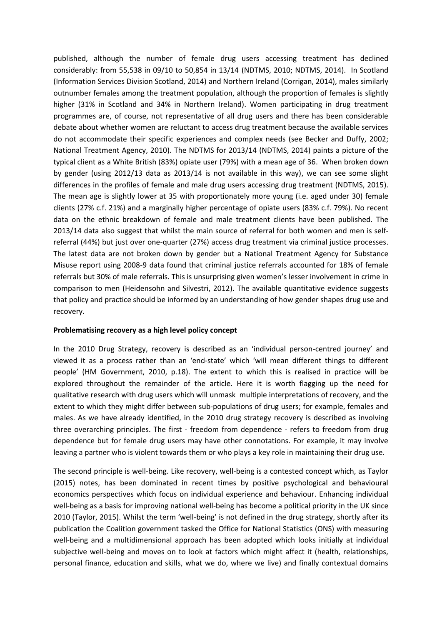published, although the number of female drug users accessing treatment has declined considerably: from 55,538 in 09/10 to 50,854 in 13/14 (NDTMS, 2010; NDTMS, 2014). In Scotland (Information Services Division Scotland, 2014) and Northern Ireland (Corrigan, 2014), males similarly outnumber females among the treatment population, although the proportion of females is slightly higher (31% in Scotland and 34% in Northern Ireland). Women participating in drug treatment programmes are, of course, not representative of all drug users and there has been considerable debate about whether women are reluctant to access drug treatment because the available services do not accommodate their specific experiences and complex needs (see Becker and Duffy, 2002; National Treatment Agency, 2010). The NDTMS for 2013/14 (NDTMS, 2014) paints a picture of the typical client as a White British (83%) opiate user (79%) with a mean age of 36. When broken down by gender (using 2012/13 data as 2013/14 is not available in this way), we can see some slight differences in the profiles of female and male drug users accessing drug treatment (NDTMS, 2015). The mean age is slightly lower at 35 with proportionately more young (i.e. aged under 30) female clients (27% c.f. 21%) and a marginally higher percentage of opiate users (83% c.f. 79%). No recent data on the ethnic breakdown of female and male treatment clients have been published. The 2013/14 data also suggest that whilst the main source of referral for both women and men is selfreferral (44%) but just over one-quarter (27%) access drug treatment via criminal justice processes. The latest data are not broken down by gender but a National Treatment Agency for Substance Misuse report using 2008-9 data found that criminal justice referrals accounted for 18% of female referrals but 30% of male referrals. This is unsurprising given women's lesser involvement in crime in comparison to men (Heidensohn and Silvestri, 2012). The available quantitative evidence suggests that policy and practice should be informed by an understanding of how gender shapes drug use and recovery.

### **Problematising recovery as a high level policy concept**

In the 2010 Drug Strategy, recovery is described as an 'individual person-centred journey' and viewed it as a process rather than an 'end-state' which 'will mean different things to different people' (HM Government, 2010, p.18). The extent to which this is realised in practice will be explored throughout the remainder of the article. Here it is worth flagging up the need for qualitative research with drug users which will unmask multiple interpretations of recovery, and the extent to which they might differ between sub-populations of drug users; for example, females and males. As we have already identified, in the 2010 drug strategy recovery is described as involving three overarching principles. The first - freedom from dependence - refers to freedom from drug dependence but for female drug users may have other connotations. For example, it may involve leaving a partner who is violent towards them or who plays a key role in maintaining their drug use.

The second principle is well-being. Like recovery, well-being is a contested concept which, as Taylor (2015) notes, has been dominated in recent times by positive psychological and behavioural economics perspectives which focus on individual experience and behaviour. Enhancing individual well-being as a basis for improving national well-being has become a political priority in the UK since 2010 (Taylor, 2015). Whilst the term 'well-being' is not defined in the drug strategy, shortly after its publication the Coalition government tasked the Office for National Statistics (ONS) with measuring well-being and a multidimensional approach has been adopted which looks initially at individual subjective well-being and moves on to look at factors which might affect it (health, relationships, personal finance, education and skills, what we do, where we live) and finally contextual domains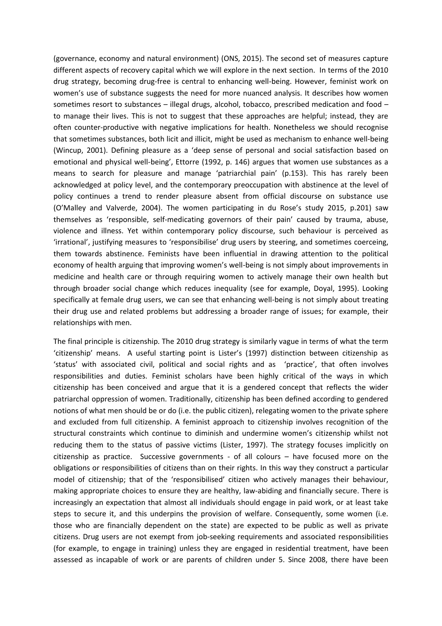(governance, economy and natural environment) (ONS, 2015). The second set of measures capture different aspects of recovery capital which we will explore in the next section. In terms of the 2010 drug strategy, becoming drug-free is central to enhancing well-being. However, feminist work on women's use of substance suggests the need for more nuanced analysis. It describes how women sometimes resort to substances - illegal drugs, alcohol, tobacco, prescribed medication and food to manage their lives. This is not to suggest that these approaches are helpful; instead, they are often counter-productive with negative implications for health. Nonetheless we should recognise that sometimes substances, both licit and illicit, might be used as mechanism to enhance well-being (Wincup, 2001). Defining pleasure as a 'deep sense of personal and social satisfaction based on emotional and physical well-being', Ettorre (1992, p. 146) argues that women use substances as a means to search for pleasure and manage 'patriarchial pain' (p.153). This has rarely been acknowledged at policy level, and the contemporary preoccupation with abstinence at the level of policy continues a trend to render pleasure absent from official discourse on substance use (O'Malley and Valverde, 2004). The women participating in du Rose's study 2015, p.201) saw themselves as 'responsible, self-medicating governors of their pain' caused by trauma, abuse, violence and illness. Yet within contemporary policy discourse, such behaviour is perceived as 'irrational', justifying measures to 'responsibilise' drug users by steering, and sometimes coerceing, them towards abstinence. Feminists have been influential in drawing attention to the political economy of health arguing that improving women's well-being is not simply about improvements in medicine and health care or through requiring women to actively manage their own health but through broader social change which reduces inequality (see for example, Doyal, 1995). Looking specifically at female drug users, we can see that enhancing well-being is not simply about treating their drug use and related problems but addressing a broader range of issues; for example, their relationships with men.

The final principle is citizenship. The 2010 drug strategy is similarly vague in terms of what the term 'citizenship' means. A useful starting point is Lister's (1997) distinction between citizenship as 'status' with associated civil, political and social rights and as 'practice', that often involves responsibilities and duties. Feminist scholars have been highly critical of the ways in which citizenship has been conceived and argue that it is a gendered concept that reflects the wider patriarchal oppression of women. Traditionally, citizenship has been defined according to gendered notions of what men should be or do (i.e. the public citizen), relegating women to the private sphere and excluded from full citizenship. A feminist approach to citizenship involves recognition of the structural constraints which continue to diminish and undermine women's citizenship whilst not reducing them to the status of passive victims (Lister, 1997). The strategy focuses implicitly on citizenship as practice. Successive governments - of all colours - have focused more on the obligations or responsibilities of citizens than on their rights. In this way they construct a particular model of citizenship; that of the 'responsibilised' citizen who actively manages their behaviour, making appropriate choices to ensure they are healthy, law-abiding and financially secure. There is increasingly an expectation that almost all individuals should engage in paid work, or at least take steps to secure it, and this underpins the provision of welfare. Consequently, some women (i.e. those who are financially dependent on the state) are expected to be public as well as private citizens. Drug users are not exempt from job-seeking requirements and associated responsibilities (for example, to engage in training) unless they are engaged in residential treatment, have been assessed as incapable of work or are parents of children under 5. Since 2008, there have been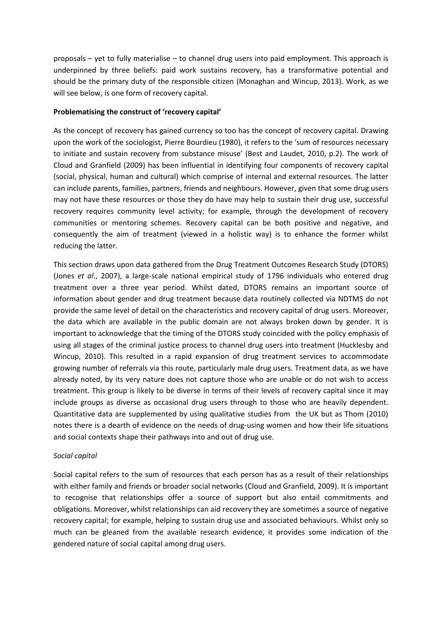proposals - yet to fully materialise - to channel drug users into paid employment. This approach is underpinned by three beliefs: paid work sustains recovery, has a transformative potential and should be the primary duty of the responsible citizen (Monaghan and Wincup, 2013). Work, as we will see below, is one form of recovery capital.

### Problematising the construct of 'recovery capital'

As the concept of recovery has gained currency so too has the concept of recovery capital. Drawing upon the work of the sociologist, Pierre Bourdieu (1980), it refers to the 'sum of resources necessary to initiate and sustain recovery from substance misuse' (Best and Laudet, 2010, p.2). The work of Cloud and Granfield (2009) has been influential in identifying four components of recovery capital (social, physical, human and cultural) which comprise of internal and external resources. The latter can include parents, families, partners, friends and neighbours. However, given that some drug users may not have these resources or those they do have may help to sustain their drug use, successful recovery requires community level activity; for example, through the development of recovery communities or mentoring schemes. Recovery capital can be both positive and negative, and consequently the aim of treatment (viewed in a holistic way) is to enhance the former whilst reducing the latter.

This section draws upon data gathered from the Drug Treatment Outcomes Research Study (DTORS) (Jones *et al*., 2007), a large-scale national empirical study of 1796 individuals who entered drug treatment over a three year period. Whilst dated, DTORS remains an important source of information about gender and drug treatment because data routinely collected via NDTMS do not provide the same level of detail on the characteristics and recovery capital of drug users. Moreover, the data which are available in the public domain are not always broken down by gender. It is important to acknowledge that the timing of the DTORS study coincided with the policy emphasis of using all stages of the criminal justice process to channel drug users into treatment (Hucklesby and Wincup, 2010). This resulted in a rapid expansion of drug treatment services to accommodate growing number of referrals via this route, particularly male drug users. Treatment data, as we have already noted, by its very nature does not capture those who are unable or do not wish to access treatment. This group is likely to be diverse in terms of their levels of recovery capital since it may include groups as diverse as occasional drug users through to those who are heavily dependent. Quantitative data are supplemented by using qualitative studies from the UK but as Thom (2010) notes there is a dearth of evidence on the needs of drug-using women and how their life situations and social contexts shape their pathways into and out of drug use.

### *Social capital*

Social capital refers to the sum of resources that each person has as a result of their relationships with either family and friends or broader social networks (Cloud and Granfield, 2009). It is important to recognise that relationships offer a source of support but also entail commitments and obligations. Moreover, whilst relationships can aid recovery they are sometimes a source of negative recovery capital; for example, helping to sustain drug use and associated behaviours. Whilst only so much can be gleaned from the available research evidence, it provides some indication of the gendered nature of social capital among drug users.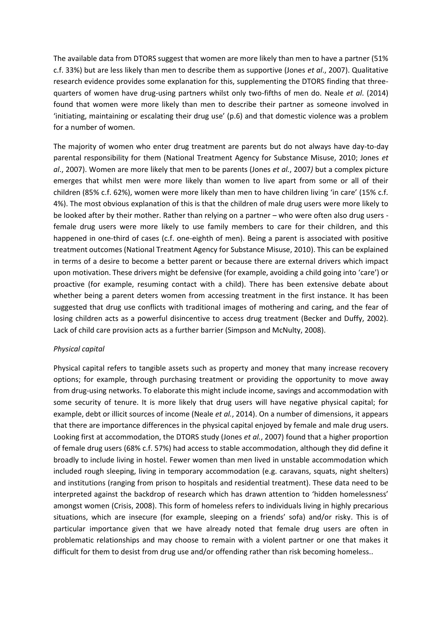The available data from DTORS suggest that women are more likely than men to have a partner (51% c.f. 33%) but are less likely than men to describe them as supportive (Jones *et al*., 2007). Qualitative research evidence provides some explanation for this, supplementing the DTORS finding that threequarters of women have drug-using partners whilst only two-fifths of men do. Neale *et al*. (2014) found that women were more likely than men to describe their partner as someone involved in 'initiating, maintaining or escalating their drug use' (p.6) and that domestic violence was a problem for a number of women.

The majority of women who enter drug treatment are parents but do not always have day-to-day parental responsibility for them (National Treatment Agency for Substance Misuse, 2010; Jones *et al*., 2007). Women are more likely that men to be parents (Jones *et al.*, 2007*)* but a complex picture emerges that whilst men were more likely than women to live apart from some or all of their children (85% c.f. 62%), women were more likely than men to have children living 'in care' (15% c.f. 4%). The most obvious explanation of this is that the children of male drug users were more likely to be looked after by their mother. Rather than relying on a partner – who were often also drug users female drug users were more likely to use family members to care for their children, and this happened in one-third of cases (c.f. one-eighth of men). Being a parent is associated with positive treatment outcomes (National Treatment Agency for Substance Misuse, 2010). This can be explained in terms of a desire to become a better parent or because there are external drivers which impact upon motivation. These drivers might be defensive (for example, avoiding a child going into 'care') or proactive (for example, resuming contact with a child). There has been extensive debate about whether being a parent deters women from accessing treatment in the first instance. It has been suggested that drug use conflicts with traditional images of mothering and caring, and the fear of losing children acts as a powerful disincentive to access drug treatment (Becker and Duffy, 2002). Lack of child care provision acts as a further barrier (Simpson and McNulty, 2008).

### *Physical capital*

Physical capital refers to tangible assets such as property and money that many increase recovery options; for example, through purchasing treatment or providing the opportunity to move away from drug-using networks. To elaborate this might include income, savings and accommodation with some security of tenure. It is more likely that drug users will have negative physical capital; for example, debt or illicit sources of income (Neale *et al.*, 2014). On a number of dimensions, it appears that there are importance differences in the physical capital enjoyed by female and male drug users. Looking first at accommodation, the DTORS study (Jones *et al.*, 2007) found that a higher proportion of female drug users (68% c.f. 57%) had access to stable accommodation, although they did define it broadly to include living in hostel. Fewer women than men lived in unstable accommodation which included rough sleeping, living in temporary accommodation (e.g. caravans, squats, night shelters) and institutions (ranging from prison to hospitals and residential treatment). These data need to be interpreted against the backdrop of research which has drawn attention to 'hidden homelessness' amongst women (Crisis, 2008). This form of homeless refers to individuals living in highly precarious situations, which are insecure (for example, sleeping on a friends' sofa) and/or risky. This is of particular importance given that we have already noted that female drug users are often in problematic relationships and may choose to remain with a violent partner or one that makes it difficult for them to desist from drug use and/or offending rather than risk becoming homeless..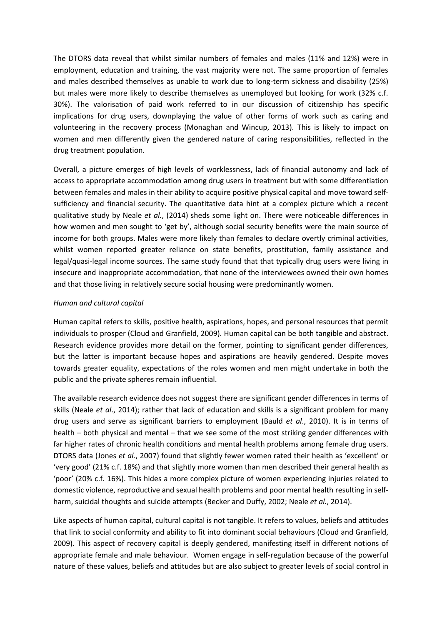The DTORS data reveal that whilst similar numbers of females and males (11% and 12%) were in employment, education and training, the vast majority were not. The same proportion of females and males described themselves as unable to work due to long-term sickness and disability (25%) but males were more likely to describe themselves as unemployed but looking for work (32% c.f. 30%). The valorisation of paid work referred to in our discussion of citizenship has specific implications for drug users, downplaying the value of other forms of work such as caring and volunteering in the recovery process (Monaghan and Wincup, 2013). This is likely to impact on women and men differently given the gendered nature of caring responsibilities, reflected in the drug treatment population.

Overall, a picture emerges of high levels of worklessness, lack of financial autonomy and lack of access to appropriate accommodation among drug users in treatment but with some differentiation between females and males in their ability to acquire positive physical capital and move toward selfsufficiency and financial security. The quantitative data hint at a complex picture which a recent qualitative study by Neale *et al.*, (2014) sheds some light on. There were noticeable differences in how women and men sought to 'get by', although social security benefits were the main source of income for both groups. Males were more likely than females to declare overtly criminal activities, whilst women reported greater reliance on state benefits, prostitution, family assistance and legal/quasi-legal income sources. The same study found that that typically drug users were living in insecure and inappropriate accommodation, that none of the interviewees owned their own homes and that those living in relatively secure social housing were predominantly women.

## *Human and cultural capital*

Human capital refers to skills, positive health, aspirations, hopes, and personal resources that permit individuals to prosper (Cloud and Granfield, 2009). Human capital can be both tangible and abstract. Research evidence provides more detail on the former, pointing to significant gender differences, but the latter is important because hopes and aspirations are heavily gendered. Despite moves towards greater equality, expectations of the roles women and men might undertake in both the public and the private spheres remain influential.

The available research evidence does not suggest there are significant gender differences in terms of skills (Neale *et al*., 2014); rather that lack of education and skills is a significant problem for many drug users and serve as significant barriers to employment (Bauld *et al*., 2010). It is in terms of health – both physical and mental – that we see some of the most striking gender differences with far higher rates of chronic health conditions and mental health problems among female drug users. DTORS data (Jones *et al.*, 2007) found that slightly fewer women rated their health as 'excellent' or 'very good' (21% c.f. 18%) and that slightly more women than men described their general health as 'poor' (20% c.f. 16%). This hides a more complex picture of women experiencing injuries related to domestic violence, reproductive and sexual health problems and poor mental health resulting in selfharm, suicidal thoughts and suicide attempts (Becker and Duffy, 2002; Neale *et al.*, 2014).

Like aspects of human capital, cultural capital is not tangible. It refers to values, beliefs and attitudes that link to social conformity and ability to fit into dominant social behaviours (Cloud and Granfield, 2009). This aspect of recovery capital is deeply gendered, manifesting itself in different notions of appropriate female and male behaviour. Women engage in self-regulation because of the powerful nature of these values, beliefs and attitudes but are also subject to greater levels of social control in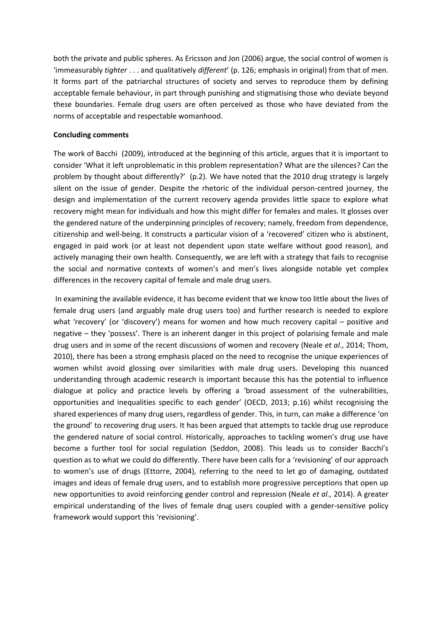both the private and public spheres. As Ericsson and Jon (2006) argue, the social control of women is 'immeasurably *tighter* . . . and qualitatively *different'* (p. 126; emphasis in original) from that of men. It forms part of the patriarchal structures of society and serves to reproduce them by defining acceptable female behaviour, in part through punishing and stigmatising those who deviate beyond these boundaries. Female drug users are often perceived as those who have deviated from the norms of acceptable and respectable womanhood.

#### **Concluding comments**

The work of Bacchi (2009), introduced at the beginning of this article, argues that it is important to consider 'What it left unproblematic in this problem representation? What are the silences? Can the problem by thought about differently?' (p.2). We have noted that the 2010 drug strategy is largely silent on the issue of gender. Despite the rhetoric of the individual person-centred journey, the design and implementation of the current recovery agenda provides little space to explore what recovery might mean for individuals and how this might differ for females and males. It glosses over the gendered nature of the underpinning principles of recovery; namely, freedom from dependence, citizenship and well-being. It constructs a particular vision of a 'recovered' citizen who is abstinent, engaged in paid work (or at least not dependent upon state welfare without good reason), and actively managing their own health. Consequently, we are left with a strategy that fails to recognise the social and normative contexts of women's and men's lives alongside notable yet complex differences in the recovery capital of female and male drug users.

 In examining the available evidence, it has become evident that we know too little about the lives of female drug users (and arguably male drug users too) and further research is needed to explore what 'recovery' (or 'discovery') means for women and how much recovery capital – positive and negative - they 'possess'. There is an inherent danger in this project of polarising female and male drug users and in some of the recent discussions of women and recovery (Neale *et al*., 2014; Thom, 2010), there has been a strong emphasis placed on the need to recognise the unique experiences of women whilst avoid glossing over similarities with male drug users. Developing this nuanced understanding through academic research is important because this has the potential to influence dialogue at policy and practice levels by offering a 'broad assessment of the vulnerabilities, opportunities and inequalities specific to each gender' (OECD, 2013; p.16) whilst recognising the shared experiences of many drug users, regardless of gender. This, in turn, can make a difference 'on the ground' to recovering drug users. It has been argued that attempts to tackle drug use reproduce the gendered nature of social control. Historically, approaches to tackling women's drug use have become a further tool for social regulation (Seddon, 2008). This leads us to consider Bacchi's question as to what we could do differently. There have been calls for a 'revisioning' of our approach to women's use of drugs (Ettorre, 2004), referring to the need to let go of damaging, outdated images and ideas of female drug users, and to establish more progressive perceptions that open up new opportunities to avoid reinforcing gender control and repression (Neale *et al.*, 2014). A greater empirical understanding of the lives of female drug users coupled with a gender-sensitive policy framework would support this 'revisioning'.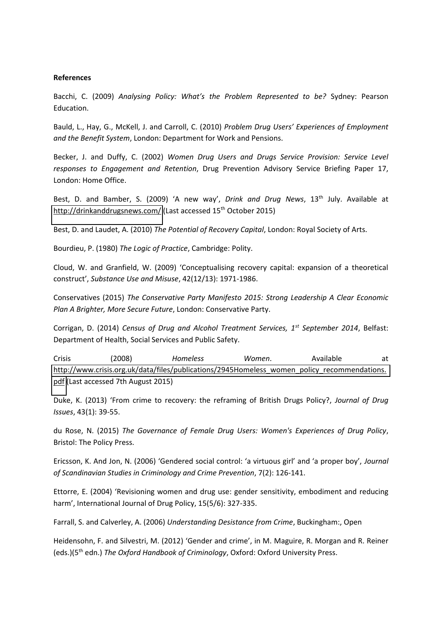#### **References**

Bacchi, C. (2009) Analysing Policy: What's the Problem Represented to be? Sydney: Pearson Education.

Bauld, L., Hay, G., McKell, J. and Carroll, C. (2010) Problem Drug Users' Experiences of Employment and the Benefit System, London: Department for Work and Pensions.

Becker, J. and Duffy, C. (2002) Women Drug Users and Drugs Service Provision: Service Level responses to Enggaement and Retention. Drug Prevention Advisory Service Briefing Paper 17. London: Home Office.

Best, D. and Bamber, S. (2009) 'A new way', Drink and Drug News, 13<sup>th</sup> July. Available at http://drinkanddrugsnews.com/ (Last accessed 15<sup>th</sup> October 2015)

Best, D. and Laudet, A. (2010) The Potential of Recovery Capital, London: Royal Society of Arts.

Bourdieu, P. (1980) The Logic of Practice, Cambridge: Polity.

Cloud, W. and Granfield, W. (2009) 'Conceptualising recovery capital: expansion of a theoretical construct', Substance Use and Misuse, 42(12/13): 1971-1986.

Conservatives (2015) The Conservative Party Manifesto 2015: Strong Leadership A Clear Economic Plan A Brighter, More Secure Future, London: Conservative Party.

Corrigan, D. (2014) Census of Drug and Alcohol Treatment Services, 1<sup>st</sup> September 2014, Belfast: Department of Health, Social Services and Public Safety.

**Crisis**  $(2008)$ Homeless Women. Available at http://www.crisis.org.uk/data/files/publications/2945Homeless women policy recommendations. pdf (Last accessed 7th August 2015)

Duke, K. (2013) 'From crime to recovery: the reframing of British Drugs Policy?, Journal of Drug Issues, 43(1): 39-55.

du Rose, N. (2015) The Governance of Female Drug Users: Women's Experiences of Drug Policy, Bristol: The Policy Press.

Ericsson, K. And Jon, N. (2006) 'Gendered social control: 'a virtuous girl' and 'a proper boy', Journal of Scandinavian Studies in Criminology and Crime Prevention, 7(2): 126-141.

Ettorre, E. (2004) 'Revisioning women and drug use: gender sensitivity, embodiment and reducing harm', International Journal of Drug Policy, 15(5/6): 327-335.

Farrall, S. and Calverley, A. (2006) Understanding Desistance from Crime, Buckingham:, Open

Heidensohn, F. and Silvestri, M. (2012) 'Gender and crime', in M. Maguire, R. Morgan and R. Reiner (eds.)(5<sup>th</sup> edn.) The Oxford Handbook of Criminology, Oxford: Oxford University Press.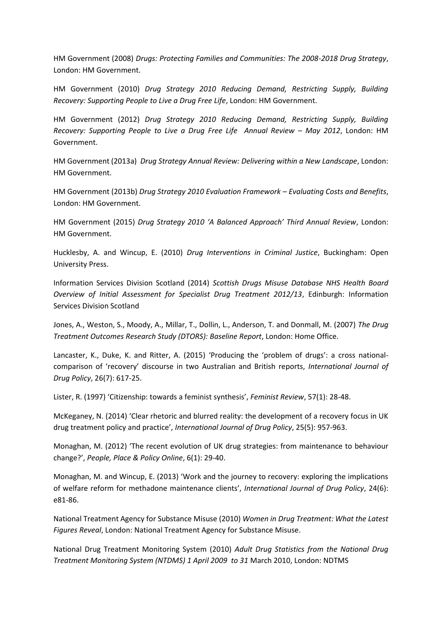HM Government (2008) Drugs: Protecting Families and Communities: The 2008-2018 Drug Strategy, London: HM Government.

HM Government (2010) Drug Strategy 2010 Reducing Demand, Restricting Supply, Building Recovery: Supporting People to Live a Drug Free Life, London: HM Government.

HM Government (2012) Drug Strategy 2010 Reducing Demand, Restricting Supply, Building Recovery: Supporting People to Live a Drug Free Life Annual Review - May 2012, London: HM Government.

HM Government (2013a) Drug Strategy Annual Review: Delivering within a New Landscape, London: HM Government.

HM Government (2013b) Drug Strategy 2010 Evaluation Framework - Evaluating Costs and Benefits, London: HM Government.

HM Government (2015) Drug Strategy 2010 'A Balanced Approach' Third Annual Review, London: HM Government.

Hucklesby, A. and Wincup, E. (2010) Drug Interventions in Criminal Justice, Buckingham: Open **University Press.** 

Information Services Division Scotland (2014) Scottish Drugs Misuse Database NHS Health Board Overview of Initial Assessment for Specialist Drug Treatment 2012/13, Edinburgh: Information **Services Division Scotland** 

Jones, A., Weston, S., Moody, A., Millar, T., Dollin, L., Anderson, T. and Donmall, M. (2007) The Drug Treatment Outcomes Research Study (DTORS): Baseline Report, London: Home Office.

Lancaster, K., Duke, K. and Ritter, A. (2015) 'Producing the 'problem of drugs': a cross nationalcomparison of 'recovery' discourse in two Australian and British reports, International Journal of Drug Policy, 26(7): 617-25.

Lister, R. (1997) 'Citizenship: towards a feminist synthesis', Feminist Review, 57(1): 28-48.

McKeganey, N. (2014) 'Clear rhetoric and blurred reality: the development of a recovery focus in UK drug treatment policy and practice', International Journal of Drug Policy, 25(5): 957-963.

Monaghan, M. (2012) 'The recent evolution of UK drug strategies: from maintenance to behaviour change?', People, Place & Policy Online, 6(1): 29-40.

Monaghan, M. and Wincup, E. (2013) 'Work and the journey to recovery: exploring the implications of welfare reform for methadone maintenance clients', International Journal of Drug Policy, 24(6): e81-86.

National Treatment Agency for Substance Misuse (2010) Women in Drug Treatment: What the Latest Figures Reveal, London: National Treatment Agency for Substance Misuse.

National Drug Treatment Monitoring System (2010) Adult Drug Statistics from the National Drug Treatment Monitoring System (NTDMS) 1 April 2009 to 31 March 2010, London: NDTMS